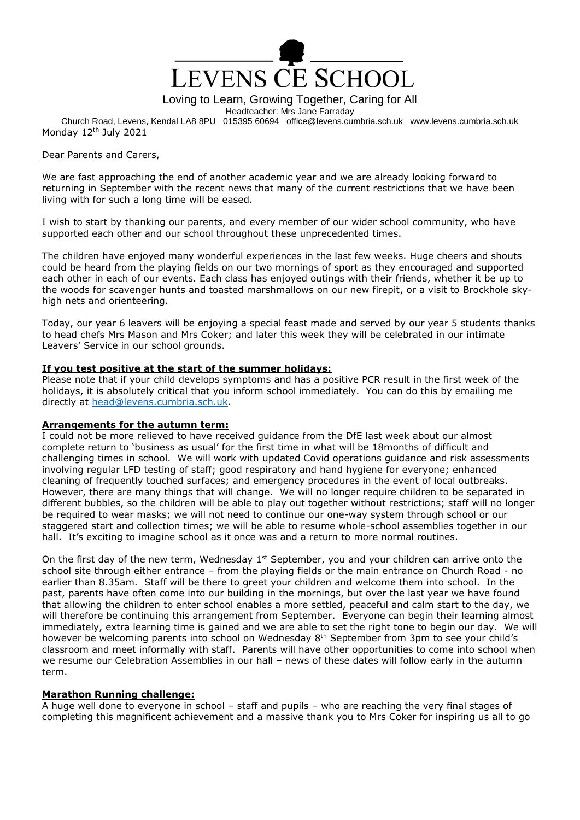

Loving to Learn, Growing Together, Caring for All

Headteacher: Mrs Jane Farraday

Church Road, Levens, Kendal LA8 8PU 015395 60694 office@levens.cumbria.sch.uk www.levens.cumbria.sch.uk Monday 12<sup>th</sup> July 2021

Dear Parents and Carers,

We are fast approaching the end of another academic year and we are already looking forward to returning in September with the recent news that many of the current restrictions that we have been living with for such a long time will be eased.

I wish to start by thanking our parents, and every member of our wider school community, who have supported each other and our school throughout these unprecedented times.

The children have enjoyed many wonderful experiences in the last few weeks. Huge cheers and shouts could be heard from the playing fields on our two mornings of sport as they encouraged and supported each other in each of our events. Each class has enjoyed outings with their friends, whether it be up to the woods for scavenger hunts and toasted marshmallows on our new firepit, or a visit to Brockhole skyhigh nets and orienteering.

Today, our year 6 leavers will be enjoying a special feast made and served by our year 5 students thanks to head chefs Mrs Mason and Mrs Coker; and later this week they will be celebrated in our intimate Leavers' Service in our school grounds.

#### **If you test positive at the start of the summer holidays:**

Please note that if your child develops symptoms and has a positive PCR result in the first week of the holidays, it is absolutely critical that you inform school immediately. You can do this by emailing me directly at [head@levens.cumbria.sch.uk.](mailto:head@levens.cumbria.sch.uk)

## **Arrangements for the autumn term:**

I could not be more relieved to have received guidance from the DfE last week about our almost complete return to 'business as usual' for the first time in what will be 18months of difficult and challenging times in school. We will work with updated Covid operations guidance and risk assessments involving regular LFD testing of staff; good respiratory and hand hygiene for everyone; enhanced cleaning of frequently touched surfaces; and emergency procedures in the event of local outbreaks. However, there are many things that will change. We will no longer require children to be separated in different bubbles, so the children will be able to play out together without restrictions; staff will no longer be required to wear masks; we will not need to continue our one-way system through school or our staggered start and collection times; we will be able to resume whole-school assemblies together in our hall. It's exciting to imagine school as it once was and a return to more normal routines.

On the first day of the new term, Wednesday 1<sup>st</sup> September, you and your children can arrive onto the school site through either entrance – from the playing fields or the main entrance on Church Road - no earlier than 8.35am. Staff will be there to greet your children and welcome them into school. In the past, parents have often come into our building in the mornings, but over the last year we have found that allowing the children to enter school enables a more settled, peaceful and calm start to the day, we will therefore be continuing this arrangement from September. Everyone can begin their learning almost immediately, extra learning time is gained and we are able to set the right tone to begin our day. We will however be welcoming parents into school on Wednesday 8<sup>th</sup> September from 3pm to see your child's classroom and meet informally with staff. Parents will have other opportunities to come into school when we resume our Celebration Assemblies in our hall – news of these dates will follow early in the autumn term.

## **Marathon Running challenge:**

A huge well done to everyone in school – staff and pupils – who are reaching the very final stages of completing this magnificent achievement and a massive thank you to Mrs Coker for inspiring us all to go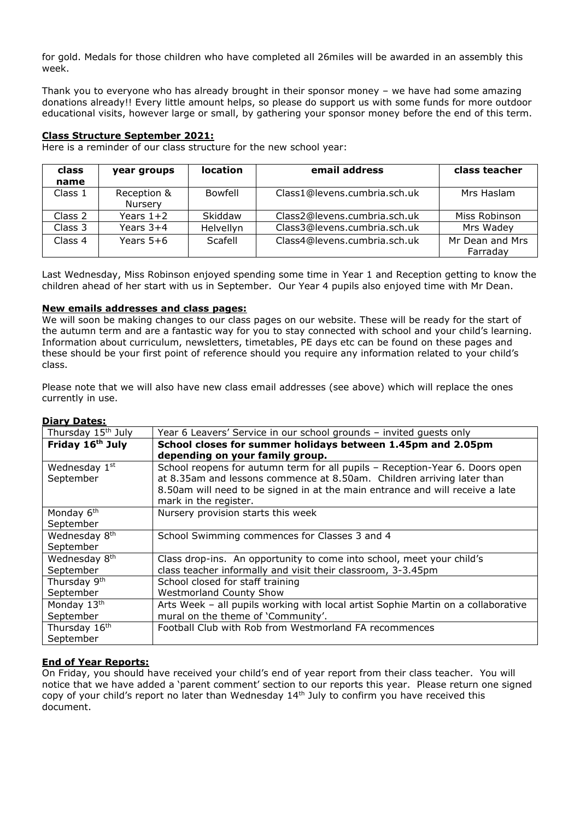for gold. Medals for those children who have completed all 26miles will be awarded in an assembly this week.

Thank you to everyone who has already brought in their sponsor money – we have had some amazing donations already!! Every little amount helps, so please do support us with some funds for more outdoor educational visits, however large or small, by gathering your sponsor money before the end of this term.

#### **Class Structure September 2021:**

Here is a reminder of our class structure for the new school year:

| class   | year groups            | <b>location</b>  | email address                | class teacher               |
|---------|------------------------|------------------|------------------------------|-----------------------------|
| name    |                        |                  |                              |                             |
| Class 1 | Reception &<br>Nursery | <b>Bowfell</b>   | Class1@levens.cumbria.sch.uk | Mrs Haslam                  |
| Class 2 | Years $1+2$            | Skiddaw          | Class2@levens.cumbria.sch.uk | Miss Robinson               |
| Class 3 | Years $3+4$            | <b>Helvellyn</b> | Class3@levens.cumbria.sch.uk | Mrs Wadey                   |
| Class 4 | Years $5+6$            | Scafell          | Class4@levens.cumbria.sch.uk | Mr Dean and Mrs<br>Farraday |

Last Wednesday, Miss Robinson enjoyed spending some time in Year 1 and Reception getting to know the children ahead of her start with us in September. Our Year 4 pupils also enjoyed time with Mr Dean.

## **New emails addresses and class pages:**

We will soon be making changes to our class pages on our website. These will be ready for the start of the autumn term and are a fantastic way for you to stay connected with school and your child's learning. Information about curriculum, newsletters, timetables, PE days etc can be found on these pages and these should be your first point of reference should you require any information related to your child's class.

Please note that we will also have new class email addresses (see above) which will replace the ones currently in use.

| Thursday 15 <sup>th</sup> July | Year 6 Leavers' Service in our school grounds - invited guests only               |  |  |  |
|--------------------------------|-----------------------------------------------------------------------------------|--|--|--|
| Friday 16 <sup>th</sup> July   | School closes for summer holidays between 1.45pm and 2.05pm                       |  |  |  |
|                                | depending on your family group.                                                   |  |  |  |
| Wednesday 1st                  | School reopens for autumn term for all pupils - Reception-Year 6. Doors open      |  |  |  |
| September                      | at 8.35am and lessons commence at 8.50am. Children arriving later than            |  |  |  |
|                                | 8.50am will need to be signed in at the main entrance and will receive a late     |  |  |  |
|                                | mark in the register.                                                             |  |  |  |
| Monday 6 <sup>th</sup>         | Nursery provision starts this week                                                |  |  |  |
| September                      |                                                                                   |  |  |  |
| Wednesday 8th                  | School Swimming commences for Classes 3 and 4                                     |  |  |  |
| September                      |                                                                                   |  |  |  |
| Wednesday 8 <sup>th</sup>      | Class drop-ins. An opportunity to come into school, meet your child's             |  |  |  |
| September                      | class teacher informally and visit their classroom, 3-3.45pm                      |  |  |  |
| Thursday 9 <sup>th</sup>       | School closed for staff training                                                  |  |  |  |
| September                      | <b>Westmorland County Show</b>                                                    |  |  |  |
| Monday 13th                    | Arts Week - all pupils working with local artist Sophie Martin on a collaborative |  |  |  |
| September                      | mural on the theme of 'Community'.                                                |  |  |  |
| Thursday 16th                  | Football Club with Rob from Westmorland FA recommences                            |  |  |  |
| September                      |                                                                                   |  |  |  |

#### **Diary Dates:**

# **End of Year Reports:**

On Friday, you should have received your child's end of year report from their class teacher. You will notice that we have added a 'parent comment' section to our reports this year. Please return one signed copy of your child's report no later than Wednesday 14th July to confirm you have received this document.